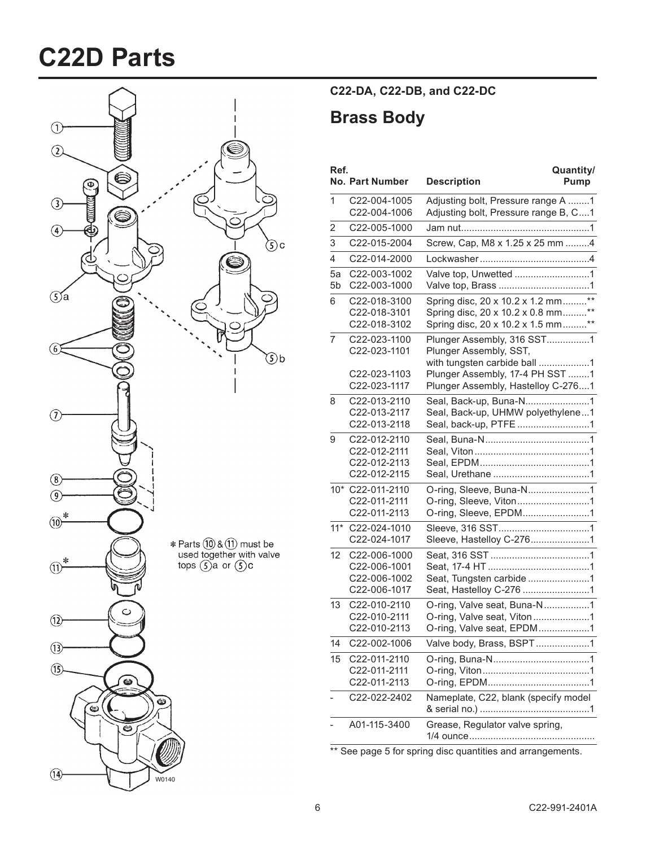# **C22D\$Parts**



### **C22\*DA,\$C22\*DB,\$and\$C22\*DC**

### **Brass Body**

| Ref.                 | <b>No. Part Number</b>                                       | Quantity/<br><b>Description</b><br>Pump                                                                                 |
|----------------------|--------------------------------------------------------------|-------------------------------------------------------------------------------------------------------------------------|
| 1                    | C22-004-1005<br>C22-004-1006                                 | Adjusting bolt, Pressure range A 1<br>Adjusting bolt, Pressure range B, C1                                              |
| 2                    | C22-005-1000                                                 |                                                                                                                         |
| 3                    | C22-015-2004                                                 | Screw, Cap, M8 x 1.25 x 25 mm 4                                                                                         |
| $\overline{4}$       | C22-014-2000                                                 |                                                                                                                         |
| 5a<br>5 <sub>b</sub> | C22-003-1002<br>C22-003-1000                                 | Valve top, Unwetted 1                                                                                                   |
| 6                    | C22-018-3100<br>C22-018-3101<br>C22-018-3102                 | Spring disc, 20 x 10.2 x 1.2 mm**<br>Spring disc, 20 x 10.2 x 0.8 mm**<br>Spring disc, 20 x 10.2 x 1.5 mm**             |
| 7                    | C22-023-1100<br>C22-023-1101<br>C22-023-1103                 | Plunger Assembly, 316 SST1<br>Plunger Assembly, SST,<br>with tungsten carbide ball 1<br>Plunger Assembly, 17-4 PH SST 1 |
|                      | C22-023-1117                                                 | Plunger Assembly, Hastelloy C-2761                                                                                      |
| 8                    | C22-013-2110<br>C22-013-2117<br>C22-013-2118                 | Seal, Back-up, Buna-N1<br>Seal, Back-up, UHMW polyethylene1<br>Seal, back-up, PTFE 1                                    |
| 9                    | C22-012-2110<br>C22-012-2111<br>C22-012-2113<br>C22-012-2115 |                                                                                                                         |
|                      | 10* C22-011-2110<br>C22-011-2111<br>C22-011-2113             | O-ring, Sleeve, Buna-N1<br>O-ring, Sleeve, Viton1                                                                       |
| $11*$                | C22-024-1010<br>C22-024-1017                                 | Sleeve, Hastelloy C-2761                                                                                                |
| 12                   | C22-006-1000<br>C22-006-1001<br>C22-006-1002<br>C22-006-1017 | Seat, Tungsten carbide 1<br>Seat, Hastelloy C-276 1                                                                     |
| 13                   | C22-010-2110<br>C22-010-2111<br>C22-010-2113                 | O-ring, Valve seat, Buna-N1<br>O-ring, Valve seat, Viton1<br>O-ring, Valve seat, EPDM1                                  |
| 14                   | C22-002-1006                                                 | Valve body, Brass, BSPT1                                                                                                |
| 15                   | C22-011-2110<br>C22-011-2111<br>C22-011-2113                 |                                                                                                                         |
|                      | C22-022-2402                                                 | Nameplate, C22, blank (specify model                                                                                    |
|                      | A01-115-3400                                                 | Grease, Regulator valve spring,                                                                                         |

\*\* See page 5 for spring disc quantities and arrangements.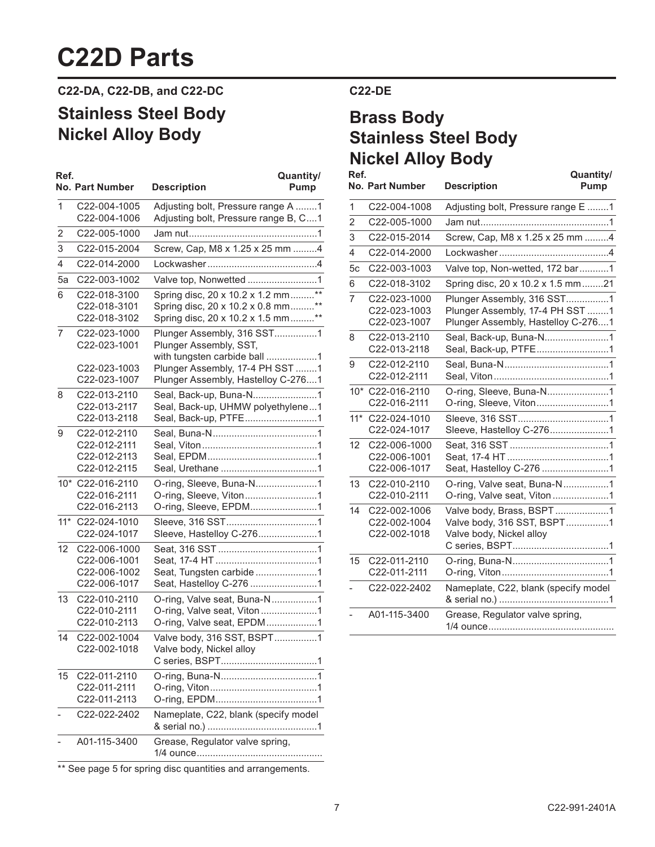## **C22D Parts**

**C22\*DA,\$C22\*DB,\$and\$C22\*DC**

### **Stainless Steel Body Nickel Alloy Body**

| Ref.  | <b>No. Part Number</b>                                       | Quantity/<br><b>Description</b><br>Pump                                                                     |
|-------|--------------------------------------------------------------|-------------------------------------------------------------------------------------------------------------|
| 1     | C22-004-1005<br>C22-004-1006                                 | Adjusting bolt, Pressure range A 1<br>Adjusting bolt, Pressure range B, C1                                  |
| 2     | C22-005-1000                                                 |                                                                                                             |
| 3     | C22-015-2004                                                 | Screw, Cap, M8 x 1.25 x 25 mm 4                                                                             |
| 4     | C22-014-2000                                                 |                                                                                                             |
| 5a    | C22-003-1002                                                 | Valve top, Nonwetted 1                                                                                      |
| 6     | C22-018-3100<br>C22-018-3101<br>C22-018-3102                 | Spring disc, 20 x 10.2 x 1.2 mm**<br>Spring disc, 20 x 10.2 x 0.8 mm**<br>Spring disc, 20 x 10.2 x 1.5 mm** |
| 7     | C22-023-1000<br>C22-023-1001                                 | Plunger Assembly, 316 SST1<br>Plunger Assembly, SST,<br>with tungsten carbide ball 1                        |
|       | C22-023-1003<br>C22-023-1007                                 | Plunger Assembly, 17-4 PH SST 1<br>Plunger Assembly, Hastelloy C-2761                                       |
| 8     | C22-013-2110<br>C22-013-2117<br>C22-013-2118                 | Seal, Back-up, Buna-N1<br>Seal, Back-up, UHMW polyethylene1<br>Seal, Back-up, PTFE1                         |
| 9     | C22-012-2110<br>C22-012-2111<br>C22-012-2113<br>C22-012-2115 |                                                                                                             |
| $10*$ | C22-016-2110<br>C22-016-2111<br>C22-016-2113                 | O-ring, Sleeve, Buna-N1<br>O-ring, Sleeve, Viton1<br>O-ring, Sleeve, EPDM1                                  |
| $11*$ | C22-024-1010<br>C22-024-1017                                 | Sleeve, Hastelloy C-2761                                                                                    |
| 12    | C22-006-1000<br>C22-006-1001<br>C22-006-1002<br>C22-006-1017 | Seat, Tungsten carbide 1<br>Seat, Hastelloy C-276 1                                                         |
| 13    | C22-010-2110<br>C22-010-2111<br>C22-010-2113                 | O-ring, Valve seat, Buna-N1<br>O-ring, Valve seat, Viton1<br>O-ring, Valve seat, EPDM1                      |
| 14    | C22-002-1004<br>C22-002-1018                                 | Valve body, 316 SST, BSPT1<br>Valve body, Nickel alloy                                                      |
| 15    | C22-011-2110<br>C22-011-2111<br>C22-011-2113                 |                                                                                                             |
|       | C22-022-2402                                                 | Nameplate, C22, blank (specify model                                                                        |
|       | A01-115-3400                                                 | Grease, Regulator valve spring,                                                                             |

\*\* See page 5 for spring disc quantities and arrangements.

### **C22\*DE**

## **Brass Body Stainless Steel Body Nickel Alloy Body**

| Ref.           | <b>No. Part Number</b>                       | Quantity/<br><b>Description</b><br>Pump                                                             |
|----------------|----------------------------------------------|-----------------------------------------------------------------------------------------------------|
| 1              | C22-004-1008                                 | Adjusting bolt, Pressure range E 1                                                                  |
| $\overline{2}$ | C22-005-1000                                 |                                                                                                     |
| 3              | C22-015-2014                                 | Screw, Cap, M8 x 1.25 x 25 mm 4                                                                     |
| 4              | C22-014-2000                                 |                                                                                                     |
| 5c             | C22-003-1003                                 | Valve top, Non-wetted, 172 bar1                                                                     |
| 6              | C22-018-3102                                 | Spring disc, 20 x 10.2 x 1.5 mm21                                                                   |
| $\overline{7}$ | C22-023-1000<br>C22-023-1003<br>C22-023-1007 | Plunger Assembly, 316 SST1<br>Plunger Assembly, 17-4 PH SST 1<br>Plunger Assembly, Hastelloy C-2761 |
| 8              | C22-013-2110<br>C22-013-2118                 | Seal, Back-up, Buna-N1<br>Seal, Back-up, PTFE1                                                      |
| 9              | C22-012-2110<br>C22-012-2111                 |                                                                                                     |
|                | 10* C22-016-2110<br>C22-016-2111             | O-ring, Sleeve, Buna-N1<br>O-ring, Sleeve, Viton1                                                   |
| $11*$          | C22-024-1010<br>C22-024-1017                 | Sleeve, Hastelloy C-2761                                                                            |
| 12             | C22-006-1000<br>C22-006-1001<br>C22-006-1017 | Seat, Hastelloy C-276 1                                                                             |
| 13             | C22-010-2110<br>C22-010-2111                 | O-ring, Valve seat, Buna-N1<br>O-ring, Valve seat, Viton 1                                          |
| 14             | C22-002-1006<br>C22-002-1004<br>C22-002-1018 | Valve body, Brass, BSPT1<br>Valve body, 316 SST, BSPT1<br>Valve body, Nickel alloy                  |
| 15             | C22-011-2110<br>C22-011-2111                 |                                                                                                     |
|                | C22-022-2402                                 | Nameplate, C22, blank (specify model                                                                |
|                | A01-115-3400                                 | Grease, Regulator valve spring,                                                                     |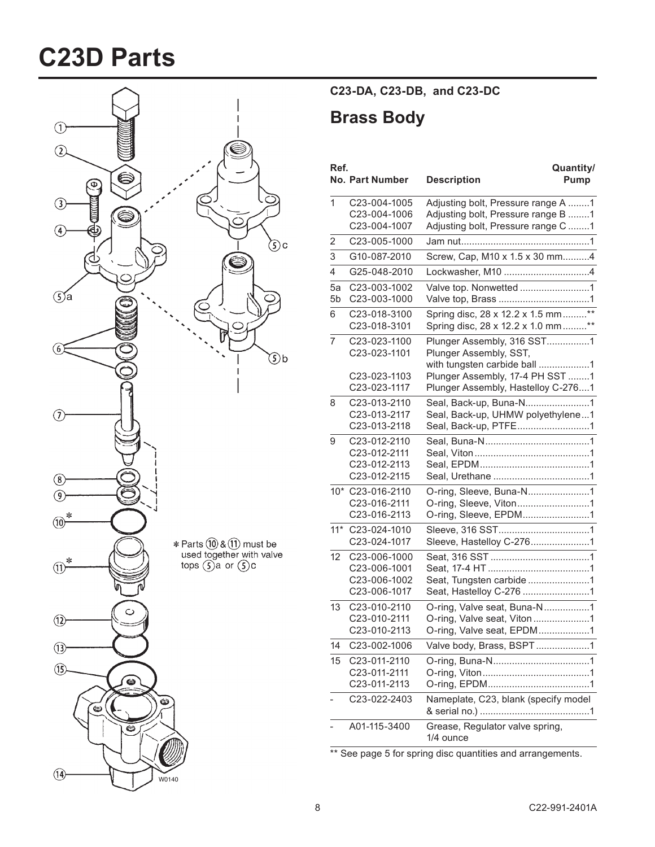## **C23D\$Parts**



**C23\*DA,\$C23\*DB,\$\$and\$C23\*DC**

### **Brass Body**

| Ref.                 | <b>No. Part Number</b>                                       | Quantity/<br><b>Description</b><br>Pump                                                                                 |
|----------------------|--------------------------------------------------------------|-------------------------------------------------------------------------------------------------------------------------|
| 1                    | C23-004-1005<br>C23-004-1006<br>C23-004-1007                 | Adjusting bolt, Pressure range A 1<br>Adjusting bolt, Pressure range B 1<br>Adjusting bolt, Pressure range C 1          |
| $\overline{2}$       | C23-005-1000                                                 |                                                                                                                         |
| 3                    | G10-087-2010                                                 | Screw, Cap, M10 x 1.5 x 30 mm4                                                                                          |
| 4                    | G25-048-2010                                                 |                                                                                                                         |
| 5a<br>5 <sub>b</sub> | C23-003-1002<br>C23-003-1000                                 | Valve top. Nonwetted 1                                                                                                  |
| 6                    | C23-018-3100<br>C23-018-3101                                 | Spring disc, 28 x 12.2 x 1.5 mm**<br>Spring disc, 28 x 12.2 x 1.0 mm**                                                  |
| 7                    | C23-023-1100<br>C23-023-1101<br>C23-023-1103                 | Plunger Assembly, 316 SST1<br>Plunger Assembly, SST,<br>with tungsten carbide ball 1<br>Plunger Assembly, 17-4 PH SST 1 |
|                      | C23-023-1117                                                 | Plunger Assembly, Hastelloy C-2761                                                                                      |
| 8                    | C23-013-2110<br>C23-013-2117<br>C23-013-2118                 | Seal, Back-up, Buna-N1<br>Seal, Back-up, UHMW polyethylene1<br>Seal, Back-up, PTFE1                                     |
| 9                    | C23-012-2110<br>C23-012-2111<br>C23-012-2113<br>C23-012-2115 |                                                                                                                         |
|                      | 10* C23-016-2110<br>C23-016-2111<br>C23-016-2113             | O-ring, Sleeve, Viton1<br>O-ring, Sleeve, EPDM1                                                                         |
| $11*$                | C23-024-1010<br>C23-024-1017                                 |                                                                                                                         |
| 12                   | C23-006-1000<br>C23-006-1001<br>C23-006-1002<br>C23-006-1017 | Seat, Tungsten carbide 1<br>Seat, Hastelloy C-276 1                                                                     |
| 13                   | C23-010-2110<br>C23-010-2111<br>C23-010-2113                 | O-ring, Valve seat, Buna-N1<br>O-ring, Valve seat, Viton1<br>O-ring, Valve seat, EPDM1                                  |
| 14                   | C23-002-1006                                                 | Valve body, Brass, BSPT1                                                                                                |
| 15                   | C23-011-2110<br>C23-011-2111<br>C23-011-2113                 |                                                                                                                         |
|                      | C23-022-2403                                                 | Nameplate, C23, blank (specify model                                                                                    |
|                      | A01-115-3400                                                 | Grease, Regulator valve spring,<br>1/4 ounce                                                                            |

\*\* See page 5 for spring disc quantities and arrangements.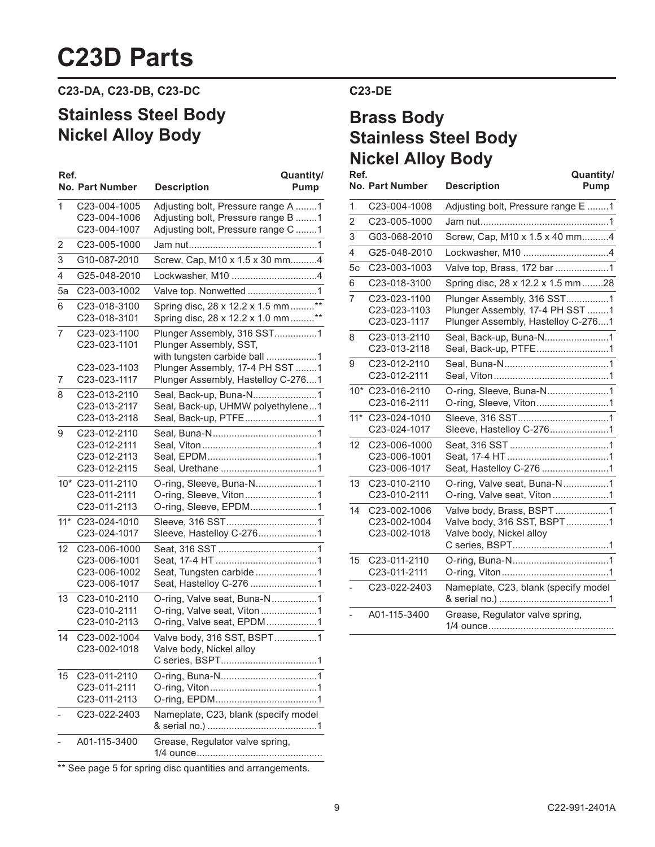## **C23D Parts**

**C23\*DA,\$C23\*DB,\$C23\*DC**

### **Stainless Steel Body Nickel Alloy Body**

| Ref.  | <b>No. Part Number</b>                                       | Quantity/<br><b>Description</b><br>Pump                                                                        |
|-------|--------------------------------------------------------------|----------------------------------------------------------------------------------------------------------------|
| 1     | C23-004-1005<br>C23-004-1006<br>C23-004-1007                 | Adjusting bolt, Pressure range A 1<br>Adjusting bolt, Pressure range B 1<br>Adjusting bolt, Pressure range C 1 |
| 2     | C23-005-1000                                                 |                                                                                                                |
| 3     | G10-087-2010                                                 | Screw, Cap, M10 x 1.5 x 30 mm4                                                                                 |
| 4     | G25-048-2010                                                 | Lockwasher, M10 4                                                                                              |
| 5a    | C23-003-1002                                                 |                                                                                                                |
| 6     | C23-018-3100<br>C23-018-3101                                 | Spring disc, 28 x 12.2 x 1.5 mm**<br>Spring disc, 28 x 12.2 x 1.0 mm **                                        |
| 7     | C23-023-1100<br>C23-023-1101                                 | Plunger Assembly, 316 SST1<br>Plunger Assembly, SST,<br>with tungsten carbide ball 1                           |
| 7     | C23-023-1103<br>C23-023-1117                                 | Plunger Assembly, 17-4 PH SST 1<br>Plunger Assembly, Hastelloy C-2761                                          |
| 8     | C23-013-2110<br>C23-013-2117<br>C23-013-2118                 | Seal, Back-up, Buna-N1<br>Seal, Back-up, UHMW polyethylene1<br>Seal, Back-up, PTFE1                            |
| 9     | C23-012-2110<br>C23-012-2111<br>C23-012-2113<br>C23-012-2115 |                                                                                                                |
|       | 10* C23-011-2110<br>C23-011-2111<br>C23-011-2113             | O-ring, Sleeve, Buna-N1<br>O-ring, Sleeve, Viton1<br>O-ring, Sleeve, EPDM1                                     |
| $11*$ | C23-024-1010<br>C23-024-1017                                 | Sleeve, Hastelloy C-2761                                                                                       |
| 12    | C23-006-1000<br>C23-006-1001<br>C23-006-1002<br>C23-006-1017 | Seat, Tungsten carbide 1<br>Seat, Hastelloy C-276 1                                                            |
| 13    | C23-010-2110<br>C23-010-2111<br>C23-010-2113                 | O-ring, Valve seat, Buna-N1<br>O-ring, Valve seat, Viton1<br>O-ring, Valve seat, EPDM1                         |
| 14    | C23-002-1004<br>C23-002-1018                                 | Valve body, 316 SST, BSPT1<br>Valve body. Nickel alloy                                                         |
| 15    | C23-011-2110<br>C23-011-2111<br>C23-011-2113                 |                                                                                                                |
|       | C23-022-2403                                                 | Nameplate, C23, blank (specify model                                                                           |
|       | A01-115-3400                                                 | Grease, Regulator valve spring,                                                                                |

\*\* See page 5 for spring disc quantities and arrangements.

### **C23\*DE**

## **Brass Body Stainless Steel Body Nickel Alloy Body**

| Ref.           | <b>No. Part Number</b>                       | Quantity/<br><b>Description</b><br>Pump                                                             |
|----------------|----------------------------------------------|-----------------------------------------------------------------------------------------------------|
| 1              | C23-004-1008                                 | Adjusting bolt, Pressure range E 1                                                                  |
| $\overline{2}$ | C23-005-1000                                 |                                                                                                     |
| 3              | G03-068-2010                                 | Screw, Cap, M10 x 1.5 x 40 mm4                                                                      |
| 4              | G25-048-2010                                 | Lockwasher, M10 4                                                                                   |
| 5c             | C23-003-1003                                 | Valve top, Brass, 172 bar 1                                                                         |
| 6              | C23-018-3100                                 | Spring disc, 28 x 12.2 x 1.5 mm28                                                                   |
| $\overline{7}$ | C23-023-1100<br>C23-023-1103<br>C23-023-1117 | Plunger Assembly, 316 SST1<br>Plunger Assembly, 17-4 PH SST 1<br>Plunger Assembly, Hastelloy C-2761 |
| 8              | C23-013-2110<br>C23-013-2118                 | Seal, Back-up, Buna-N1<br>Seal, Back-up, PTFE1                                                      |
| 9              | C23-012-2110<br>C23-012-2111                 |                                                                                                     |
|                | 10* C23-016-2110<br>C23-016-2111             | O-ring, Sleeve, Viton1                                                                              |
| $11*$          | C23-024-1010<br>C23-024-1017                 | Sleeve, Hastelloy C-2761                                                                            |
| 12             | C23-006-1000<br>C23-006-1001<br>C23-006-1017 | Seat, Hastelloy C-276 1                                                                             |
| 13             | C23-010-2110<br>C23-010-2111                 | O-ring, Valve seat, Buna-N1<br>O-ring, Valve seat, Viton1                                           |
| 14             | C23-002-1006<br>C23-002-1004<br>C23-002-1018 | Valve body, Brass, BSPT1<br>Valve body, 316 SST, BSPT1<br>Valve body, Nickel alloy                  |
| 15             | C23-011-2110<br>C23-011-2111                 |                                                                                                     |
|                | C23-022-2403                                 | Nameplate, C23, blank (specify model                                                                |
|                | A01-115-3400                                 | Grease, Regulator valve spring,                                                                     |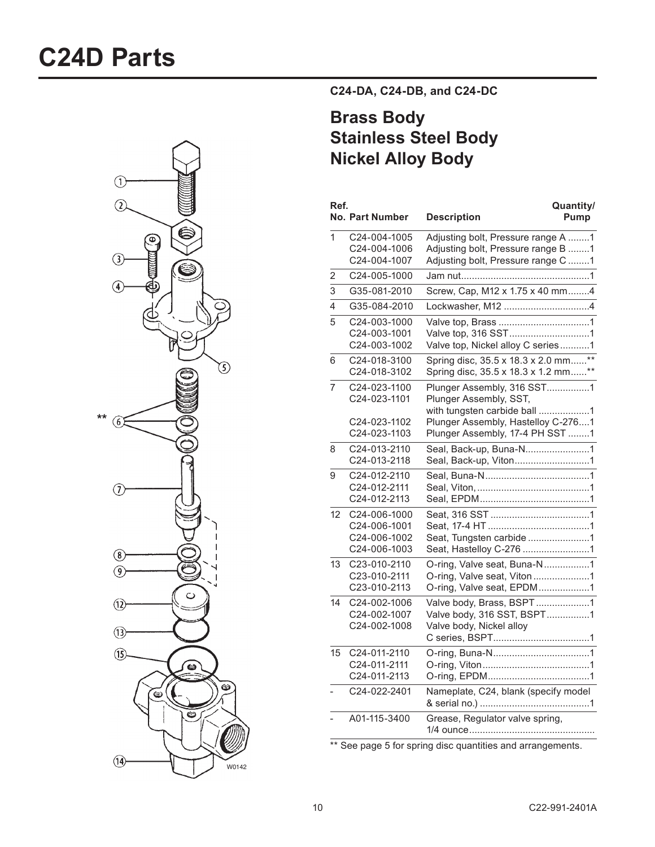

**C24\*DA,\$C24\*DB,\$and\$C24\*DC**

## **Brass Body Stainless Steel Body Nickel Alloy Body**

| Ref.         | <b>No. Part Number</b>                                       | Quantity/<br><b>Description</b><br>Pump                                                                                                                       |
|--------------|--------------------------------------------------------------|---------------------------------------------------------------------------------------------------------------------------------------------------------------|
| $\mathbf{1}$ | C24-004-1005<br>C24-004-1006<br>C24-004-1007                 | Adjusting bolt, Pressure range A 1<br>Adjusting bolt, Pressure range B 1<br>Adjusting bolt, Pressure range C 1                                                |
| 2            | C24-005-1000                                                 |                                                                                                                                                               |
| 3            | G35-081-2010                                                 | Screw, Cap, M12 x 1.75 x 40 mm4                                                                                                                               |
| 4            | G35-084-2010                                                 | Lockwasher, M12 4                                                                                                                                             |
| 5            | C24-003-1000<br>C24-003-1001<br>C24-003-1002                 | Valve top, 316 SST1<br>Valve top, Nickel alloy C series1                                                                                                      |
| 6            | C24-018-3100<br>C24-018-3102                                 | Spring disc, 35.5 x 18.3 x 2.0 mm**<br>Spring disc, 35.5 x 18.3 x 1.2 mm**                                                                                    |
| 7            | C24-023-1100<br>C24-023-1101<br>C24-023-1102<br>C24-023-1103 | Plunger Assembly, 316 SST1<br>Plunger Assembly, SST,<br>with tungsten carbide ball 1<br>Plunger Assembly, Hastelloy C-2761<br>Plunger Assembly, 17-4 PH SST 1 |
| 8            | C24-013-2110<br>C24-013-2118                                 | Seal, Back-up, Buna-N1<br>Seal, Back-up, Viton1                                                                                                               |
| 9            | C24-012-2110<br>C24-012-2111<br>C24-012-2113                 |                                                                                                                                                               |
| 12           | C24-006-1000<br>C24-006-1001<br>C24-006-1002<br>C24-006-1003 | Seat, Tungsten carbide 1<br>Seat, Hastelloy C-276 1                                                                                                           |
| 13           | C23-010-2110<br>C23-010-2111<br>C23-010-2113                 | O-ring, Valve seat, Buna-N1<br>O-ring, Valve seat, Viton1<br>O-ring, Valve seat, EPDM1                                                                        |
| 14           | C24-002-1006<br>C24-002-1007<br>C24-002-1008                 | Valve body, Brass, BSPT1<br>Valve body, 316 SST, BSPT1<br>Valve body, Nickel alloy                                                                            |
| 15           | C24-011-2110<br>C24-011-2111<br>C24-011-2113                 |                                                                                                                                                               |
|              | C24-022-2401                                                 | Nameplate, C24, blank (specify model                                                                                                                          |
|              | A01-115-3400                                                 | Grease, Regulator valve spring,                                                                                                                               |

\*\* See page 5 for spring disc quantities and arrangements.